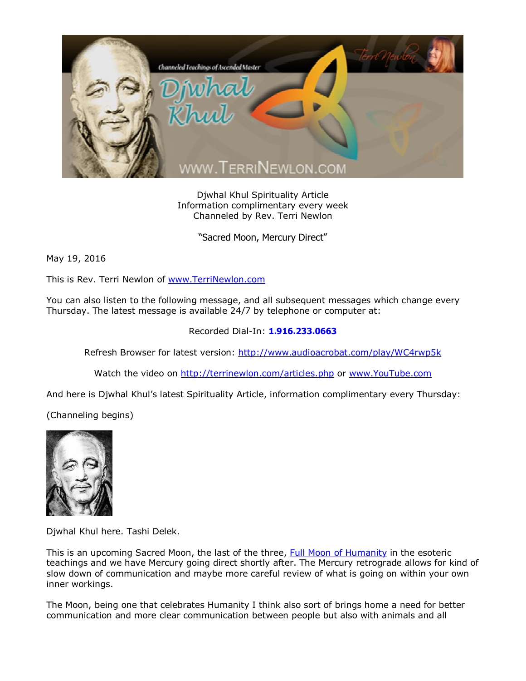

Djwhal Khul Spirituality Article Information complimentary every week Channeled by Rev. Terri Newlon

"Sacred Moon, Mercury Direct"

May 19, 2016

This is Rev. Terri Newlon of [www.TerriNewlon.com](http://www.terrinewlon.com/)

You can also listen to the following message, and all subsequent messages which change every Thursday. The latest message is available 24/7 by telephone or computer at:

## Recorded Dial-In: **1.916.233.0663**

Refresh Browser for latest version: <http://www.audioacrobat.com/play/WC4rwp5k>

Watch the video on <http://terrinewlon.com/articles.php> or [www.YouTube.com](http://www.youtube.com/)

And here is Djwhal Khul's latest Spirituality Article, information complimentary every Thursday:

(Channeling begins)



Djwhal Khul here. Tashi Delek.

This is an upcoming Sacred Moon, the last of the three, [Full Moon of Humanity](http://www.terrinewlon.com/telecourses.php) in the esoteric teachings and we have Mercury going direct shortly after. The Mercury retrograde allows for kind of slow down of communication and maybe more careful review of what is going on within your own inner workings.

The Moon, being one that celebrates Humanity I think also sort of brings home a need for better communication and more clear communication between people but also with animals and all